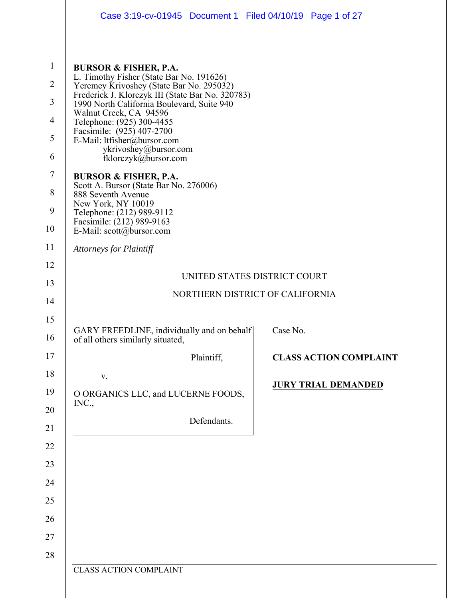|                                                                                                        | Case 3:19-cv-01945 Document 1 Filed 04/10/19 Page 1 of 27                                                                                                                                                                                                                                                                                                                                                                                                                                                                                                                                                      |                               |
|--------------------------------------------------------------------------------------------------------|----------------------------------------------------------------------------------------------------------------------------------------------------------------------------------------------------------------------------------------------------------------------------------------------------------------------------------------------------------------------------------------------------------------------------------------------------------------------------------------------------------------------------------------------------------------------------------------------------------------|-------------------------------|
| $\mathbf{1}$<br>$\overline{2}$<br>$\mathfrak{Z}$<br>$\overline{4}$<br>5<br>6<br>$\tau$<br>8<br>9<br>10 | <b>BURSOR &amp; FISHER, P.A.</b><br>L. Timothy Fisher (State Bar No. 191626)<br>Yeremey Krivoshey (State Bar No. 295032)<br>Frederick J. Klorczyk III (State Bar No. 320783)<br>1990 North California Boulevard, Suite 940<br>Walnut Creek, CA 94596<br>Telephone: (925) 300-4455<br>Facsimile: (925) 407-2700<br>E-Mail: ltfisher@bursor.com<br>ykrivoshey@bursor.com<br>fklorczyk@bursor.com<br><b>BURSOR &amp; FISHER, P.A.</b><br>Scott A. Bursor (State Bar No. 276006)<br>888 Seventh Avenue<br>New York, NY 10019<br>Telephone: (212) 989-9112<br>Facsimile: (212) 989-9163<br>E-Mail: scott@bursor.com |                               |
| 11                                                                                                     | <b>Attorneys for Plaintiff</b>                                                                                                                                                                                                                                                                                                                                                                                                                                                                                                                                                                                 |                               |
| 12                                                                                                     |                                                                                                                                                                                                                                                                                                                                                                                                                                                                                                                                                                                                                |                               |
| 13                                                                                                     | UNITED STATES DISTRICT COURT                                                                                                                                                                                                                                                                                                                                                                                                                                                                                                                                                                                   |                               |
| 14                                                                                                     | NORTHERN DISTRICT OF CALIFORNIA                                                                                                                                                                                                                                                                                                                                                                                                                                                                                                                                                                                |                               |
| 15                                                                                                     |                                                                                                                                                                                                                                                                                                                                                                                                                                                                                                                                                                                                                |                               |
| 16                                                                                                     | GARY FREEDLINE, individually and on behalf<br>of all others similarly situated,                                                                                                                                                                                                                                                                                                                                                                                                                                                                                                                                | Case No.                      |
| 17                                                                                                     | Plaintiff,                                                                                                                                                                                                                                                                                                                                                                                                                                                                                                                                                                                                     | <b>CLASS ACTION COMPLAINT</b> |
| 18                                                                                                     | V.                                                                                                                                                                                                                                                                                                                                                                                                                                                                                                                                                                                                             |                               |
| 19                                                                                                     | O ORGANICS LLC, and LUCERNE FOODS,                                                                                                                                                                                                                                                                                                                                                                                                                                                                                                                                                                             | <b>JURY TRIAL DEMANDED</b>    |
| 20                                                                                                     | INC.,<br>Defendants.                                                                                                                                                                                                                                                                                                                                                                                                                                                                                                                                                                                           |                               |
| 21                                                                                                     |                                                                                                                                                                                                                                                                                                                                                                                                                                                                                                                                                                                                                |                               |
| 22                                                                                                     |                                                                                                                                                                                                                                                                                                                                                                                                                                                                                                                                                                                                                |                               |
| 23                                                                                                     |                                                                                                                                                                                                                                                                                                                                                                                                                                                                                                                                                                                                                |                               |
| 24                                                                                                     |                                                                                                                                                                                                                                                                                                                                                                                                                                                                                                                                                                                                                |                               |
| 25                                                                                                     |                                                                                                                                                                                                                                                                                                                                                                                                                                                                                                                                                                                                                |                               |
| 26                                                                                                     |                                                                                                                                                                                                                                                                                                                                                                                                                                                                                                                                                                                                                |                               |
| 27                                                                                                     |                                                                                                                                                                                                                                                                                                                                                                                                                                                                                                                                                                                                                |                               |
| 28                                                                                                     | <b>CLASS ACTION COMPLAINT</b>                                                                                                                                                                                                                                                                                                                                                                                                                                                                                                                                                                                  |                               |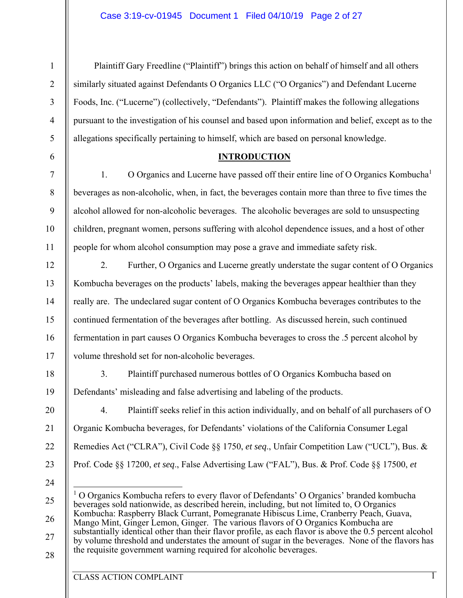Plaintiff Gary Freedline ("Plaintiff") brings this action on behalf of himself and all others similarly situated against Defendants O Organics LLC ("O Organics") and Defendant Lucerne Foods, Inc. ("Lucerne") (collectively, "Defendants"). Plaintiff makes the following allegations pursuant to the investigation of his counsel and based upon information and belief, except as to the allegations specifically pertaining to himself, which are based on personal knowledge.

### **INTRODUCTION**

1. O Organics and Lucerne have passed off their entire line of O Organics Kombucha<sup>1</sup> beverages as non-alcoholic, when, in fact, the beverages contain more than three to five times the alcohol allowed for non-alcoholic beverages. The alcoholic beverages are sold to unsuspecting children, pregnant women, persons suffering with alcohol dependence issues, and a host of other people for whom alcohol consumption may pose a grave and immediate safety risk.

2. Further, O Organics and Lucerne greatly understate the sugar content of O Organics Kombucha beverages on the products' labels, making the beverages appear healthier than they really are. The undeclared sugar content of O Organics Kombucha beverages contributes to the continued fermentation of the beverages after bottling. As discussed herein, such continued fermentation in part causes O Organics Kombucha beverages to cross the .5 percent alcohol by volume threshold set for non-alcoholic beverages.

3. Plaintiff purchased numerous bottles of O Organics Kombucha based on Defendants' misleading and false advertising and labeling of the products.

4. Plaintiff seeks relief in this action individually, and on behalf of all purchasers of O Organic Kombucha beverages, for Defendants' violations of the California Consumer Legal Remedies Act ("CLRA"), Civil Code §§ 1750, *et seq*., Unfair Competition Law ("UCL"), Bus. & Prof. Code §§ 17200, *et seq*., False Advertising Law ("FAL"), Bus. & Prof. Code §§ 17500, *et* 

 $\overline{a}$ <sup>1</sup> O Organics Kombucha refers to every flavor of Defendants' O Organics' branded kombucha beverages sold nationwide, as described herein, including, but not limited to, O Organics Kombucha: Raspberry Black Currant, Pomegranate Hibiscus Lime, Cranberry Peach, Guava, Mango Mint, Ginger Lemon, Ginger. The various flavors of O Organics Kombucha are substantially identical other than their flavor profile, as each flavor is above the 0.5 percent alcohol by volume threshold and understates the amount of sugar in the beverages. None of the flavors has the requisite government warning required for alcoholic beverages.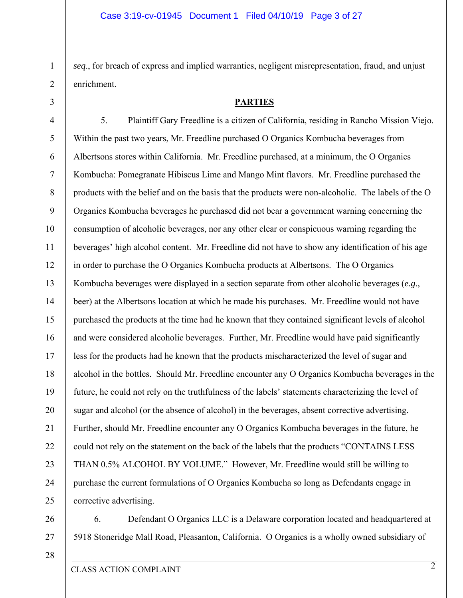*seq*., for breach of express and implied warranties, negligent misrepresentation, fraud, and unjust enrichment.

#### **PARTIES**

4 5 6 7 8 9 10 11 12 13 14 15 16 17 18 19 20 21 22 23 24 25 5. Plaintiff Gary Freedline is a citizen of California, residing in Rancho Mission Viejo. Within the past two years, Mr. Freedline purchased O Organics Kombucha beverages from Albertsons stores within California. Mr. Freedline purchased, at a minimum, the O Organics Kombucha: Pomegranate Hibiscus Lime and Mango Mint flavors. Mr. Freedline purchased the products with the belief and on the basis that the products were non-alcoholic. The labels of the O Organics Kombucha beverages he purchased did not bear a government warning concerning the consumption of alcoholic beverages, nor any other clear or conspicuous warning regarding the beverages' high alcohol content. Mr. Freedline did not have to show any identification of his age in order to purchase the O Organics Kombucha products at Albertsons. The O Organics Kombucha beverages were displayed in a section separate from other alcoholic beverages (*e.g*., beer) at the Albertsons location at which he made his purchases. Mr. Freedline would not have purchased the products at the time had he known that they contained significant levels of alcohol and were considered alcoholic beverages. Further, Mr. Freedline would have paid significantly less for the products had he known that the products mischaracterized the level of sugar and alcohol in the bottles. Should Mr. Freedline encounter any O Organics Kombucha beverages in the future, he could not rely on the truthfulness of the labels' statements characterizing the level of sugar and alcohol (or the absence of alcohol) in the beverages, absent corrective advertising. Further, should Mr. Freedline encounter any O Organics Kombucha beverages in the future, he could not rely on the statement on the back of the labels that the products "CONTAINS LESS THAN 0.5% ALCOHOL BY VOLUME." However, Mr. Freedline would still be willing to purchase the current formulations of O Organics Kombucha so long as Defendants engage in corrective advertising.

6. Defendant O Organics LLC is a Delaware corporation located and headquartered at 5918 Stoneridge Mall Road, Pleasanton, California. O Organics is a wholly owned subsidiary of

28

27

26

1

2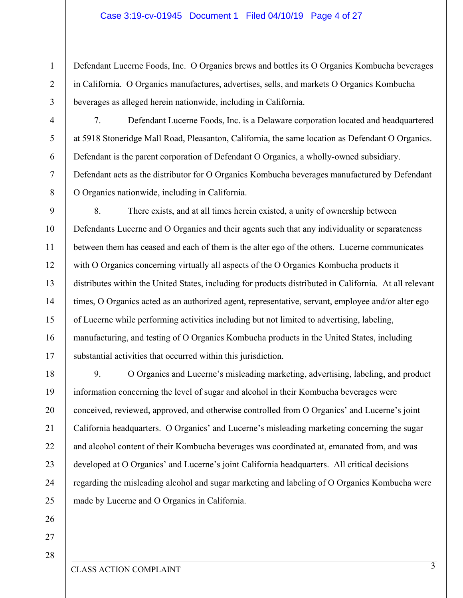### Case 3:19-cv-01945 Document 1 Filed 04/10/19 Page 4 of 27

Defendant Lucerne Foods, Inc. O Organics brews and bottles its O Organics Kombucha beverages in California. O Organics manufactures, advertises, sells, and markets O Organics Kombucha beverages as alleged herein nationwide, including in California.

7. Defendant Lucerne Foods, Inc. is a Delaware corporation located and headquartered at 5918 Stoneridge Mall Road, Pleasanton, California, the same location as Defendant O Organics. Defendant is the parent corporation of Defendant O Organics, a wholly-owned subsidiary. Defendant acts as the distributor for O Organics Kombucha beverages manufactured by Defendant O Organics nationwide, including in California.

8. There exists, and at all times herein existed, a unity of ownership between Defendants Lucerne and O Organics and their agents such that any individuality or separateness between them has ceased and each of them is the alter ego of the others. Lucerne communicates with O Organics concerning virtually all aspects of the O Organics Kombucha products it distributes within the United States, including for products distributed in California. At all relevant times, O Organics acted as an authorized agent, representative, servant, employee and/or alter ego of Lucerne while performing activities including but not limited to advertising, labeling, manufacturing, and testing of O Organics Kombucha products in the United States, including substantial activities that occurred within this jurisdiction.

18 19 20 21 22 23 24 25 9. O Organics and Lucerne's misleading marketing, advertising, labeling, and product information concerning the level of sugar and alcohol in their Kombucha beverages were conceived, reviewed, approved, and otherwise controlled from O Organics' and Lucerne's joint California headquarters. O Organics' and Lucerne's misleading marketing concerning the sugar and alcohol content of their Kombucha beverages was coordinated at, emanated from, and was developed at O Organics' and Lucerne's joint California headquarters. All critical decisions regarding the misleading alcohol and sugar marketing and labeling of O Organics Kombucha were made by Lucerne and O Organics in California.

27

26

1

2

3

4

5

6

7

8

9

10

11

12

13

14

15

16

17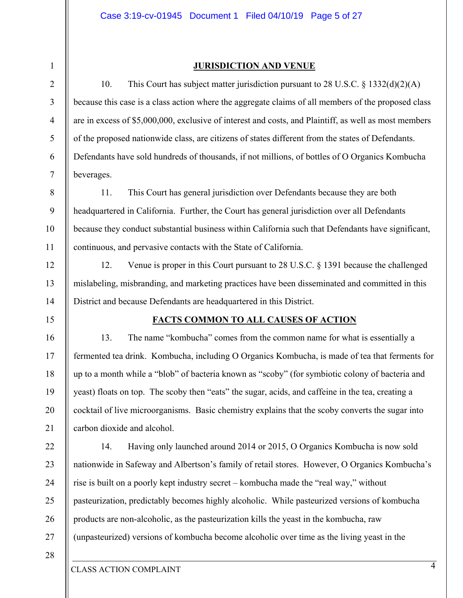1

2

3

4

5

6

7

8

9

10

11

12

13

14

15

16

17

18

19

20

21

22

23

24

25

26

27

### **JURISDICTION AND VENUE**

10. This Court has subject matter jurisdiction pursuant to 28 U.S.C. § 1332(d)(2)(A) because this case is a class action where the aggregate claims of all members of the proposed class are in excess of \$5,000,000, exclusive of interest and costs, and Plaintiff, as well as most members of the proposed nationwide class, are citizens of states different from the states of Defendants. Defendants have sold hundreds of thousands, if not millions, of bottles of O Organics Kombucha beverages.

11. This Court has general jurisdiction over Defendants because they are both headquartered in California. Further, the Court has general jurisdiction over all Defendants because they conduct substantial business within California such that Defendants have significant, continuous, and pervasive contacts with the State of California.

12. Venue is proper in this Court pursuant to 28 U.S.C. § 1391 because the challenged mislabeling, misbranding, and marketing practices have been disseminated and committed in this District and because Defendants are headquartered in this District.

### **FACTS COMMON TO ALL CAUSES OF ACTION**

13. The name "kombucha" comes from the common name for what is essentially a fermented tea drink. Kombucha, including O Organics Kombucha, is made of tea that ferments for up to a month while a "blob" of bacteria known as "scoby" (for symbiotic colony of bacteria and yeast) floats on top. The scoby then "eats" the sugar, acids, and caffeine in the tea, creating a cocktail of live microorganisms. Basic chemistry explains that the scoby converts the sugar into carbon dioxide and alcohol.

14. Having only launched around 2014 or 2015, O Organics Kombucha is now sold nationwide in Safeway and Albertson's family of retail stores. However, O Organics Kombucha's rise is built on a poorly kept industry secret – kombucha made the "real way," without pasteurization, predictably becomes highly alcoholic. While pasteurized versions of kombucha products are non-alcoholic, as the pasteurization kills the yeast in the kombucha, raw (unpasteurized) versions of kombucha become alcoholic over time as the living yeast in the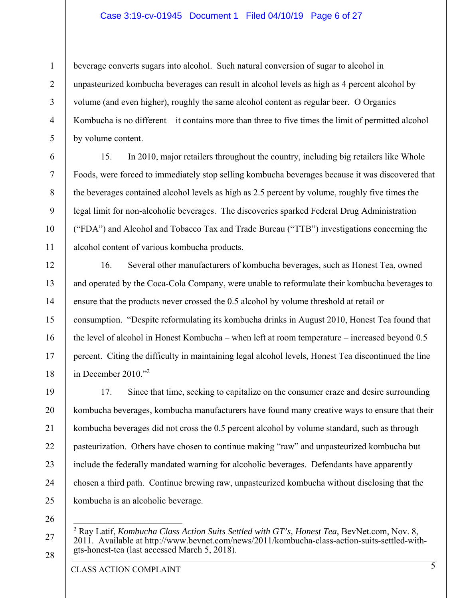### Case 3:19-cv-01945 Document 1 Filed 04/10/19 Page 6 of 27

beverage converts sugars into alcohol. Such natural conversion of sugar to alcohol in unpasteurized kombucha beverages can result in alcohol levels as high as 4 percent alcohol by volume (and even higher), roughly the same alcohol content as regular beer. O Organics Kombucha is no different – it contains more than three to five times the limit of permitted alcohol by volume content.

15. In 2010, major retailers throughout the country, including big retailers like Whole Foods, were forced to immediately stop selling kombucha beverages because it was discovered that the beverages contained alcohol levels as high as 2.5 percent by volume, roughly five times the legal limit for non-alcoholic beverages. The discoveries sparked Federal Drug Administration ("FDA") and Alcohol and Tobacco Tax and Trade Bureau ("TTB") investigations concerning the alcohol content of various kombucha products.

16. Several other manufacturers of kombucha beverages, such as Honest Tea, owned and operated by the Coca-Cola Company, were unable to reformulate their kombucha beverages to ensure that the products never crossed the 0.5 alcohol by volume threshold at retail or consumption. "Despite reformulating its kombucha drinks in August 2010, Honest Tea found that the level of alcohol in Honest Kombucha – when left at room temperature – increased beyond 0.5 percent. Citing the difficulty in maintaining legal alcohol levels, Honest Tea discontinued the line in December 2010."2

19 20 21 22 23 24 25 17. Since that time, seeking to capitalize on the consumer craze and desire surrounding kombucha beverages, kombucha manufacturers have found many creative ways to ensure that their kombucha beverages did not cross the 0.5 percent alcohol by volume standard, such as through pasteurization. Others have chosen to continue making "raw" and unpasteurized kombucha but include the federally mandated warning for alcoholic beverages. Defendants have apparently chosen a third path. Continue brewing raw, unpasteurized kombucha without disclosing that the kombucha is an alcoholic beverage.

26

 $\overline{a}$ 

27

28

1

2

3

4

5

6

7

8

9

10

11

12

13

14

15

16

17

18

CLASS ACTION COMPLAINT

<sup>2</sup> Ray Latif, *Kombucha Class Action Suits Settled with GT's, Honest Tea*, BevNet.com, Nov. 8, 2011. Available at http://www.bevnet.com/news/2011/kombucha-class-action-suits-settled-withgts-honest-tea (last accessed March 5, 2018).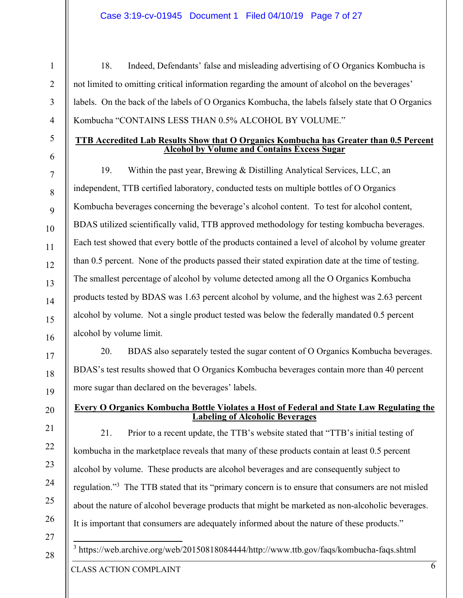### Case 3:19-cv-01945 Document 1 Filed 04/10/19 Page 7 of 27

1

6 7

8

9

10

11

12

13

14

15

16

17

18

19

20

21

22

23

24

25

26

18. Indeed, Defendants' false and misleading advertising of O Organics Kombucha is not limited to omitting critical information regarding the amount of alcohol on the beverages' labels. On the back of the labels of O Organics Kombucha, the labels falsely state that O Organics Kombucha "CONTAINS LESS THAN 0.5% ALCOHOL BY VOLUME."

### **TTB Accredited Lab Results Show that O Organics Kombucha has Greater than 0.5 Percent Alcohol by Volume and Contains Excess Sugar**

19. Within the past year, Brewing & Distilling Analytical Services, LLC, an independent, TTB certified laboratory, conducted tests on multiple bottles of O Organics Kombucha beverages concerning the beverage's alcohol content. To test for alcohol content, BDAS utilized scientifically valid, TTB approved methodology for testing kombucha beverages. Each test showed that every bottle of the products contained a level of alcohol by volume greater than 0.5 percent. None of the products passed their stated expiration date at the time of testing. The smallest percentage of alcohol by volume detected among all the O Organics Kombucha products tested by BDAS was 1.63 percent alcohol by volume, and the highest was 2.63 percent alcohol by volume. Not a single product tested was below the federally mandated 0.5 percent alcohol by volume limit.

20. BDAS also separately tested the sugar content of O Organics Kombucha beverages. BDAS's test results showed that O Organics Kombucha beverages contain more than 40 percent more sugar than declared on the beverages' labels.

### **Every O Organics Kombucha Bottle Violates a Host of Federal and State Law Regulating the Labeling of Alcoholic Beverages**

21. Prior to a recent update, the TTB's website stated that "TTB's initial testing of kombucha in the marketplace reveals that many of these products contain at least 0.5 percent alcohol by volume. These products are alcohol beverages and are consequently subject to regulation."<sup>3</sup> The TTB stated that its "primary concern is to ensure that consumers are not misled about the nature of alcohol beverage products that might be marketed as non-alcoholic beverages. It is important that consumers are adequately informed about the nature of these products."

27 28

<sup>3</sup> https://web.archive.org/web/20150818084444/http://www.ttb.gov/faqs/kombucha-faqs.shtml

CLASS ACTION COMPLAINT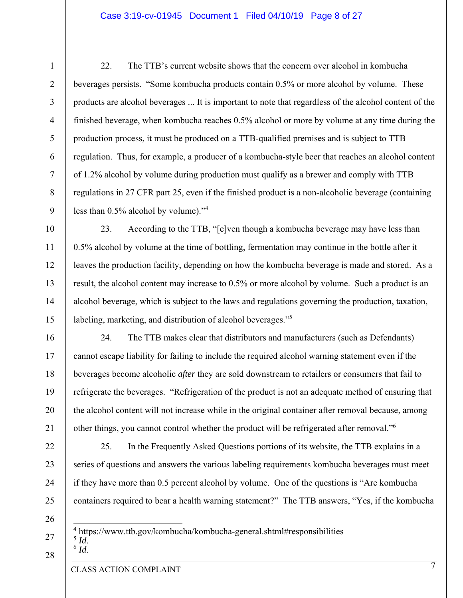### Case 3:19-cv-01945 Document 1 Filed 04/10/19 Page 8 of 27

22. The TTB's current website shows that the concern over alcohol in kombucha beverages persists. "Some kombucha products contain 0.5% or more alcohol by volume. These products are alcohol beverages ... It is important to note that regardless of the alcohol content of the finished beverage, when kombucha reaches 0.5% alcohol or more by volume at any time during the production process, it must be produced on a TTB-qualified premises and is subject to TTB regulation. Thus, for example, a producer of a kombucha-style beer that reaches an alcohol content of 1.2% alcohol by volume during production must qualify as a brewer and comply with TTB regulations in 27 CFR part 25, even if the finished product is a non-alcoholic beverage (containing less than  $0.5\%$  alcohol by volume)."<sup>4</sup>

23. According to the TTB, "[e]ven though a kombucha beverage may have less than 0.5% alcohol by volume at the time of bottling, fermentation may continue in the bottle after it leaves the production facility, depending on how the kombucha beverage is made and stored. As a result, the alcohol content may increase to 0.5% or more alcohol by volume. Such a product is an alcohol beverage, which is subject to the laws and regulations governing the production, taxation, labeling, marketing, and distribution of alcohol beverages."<sup>5</sup>

24. The TTB makes clear that distributors and manufacturers (such as Defendants) cannot escape liability for failing to include the required alcohol warning statement even if the beverages become alcoholic *after* they are sold downstream to retailers or consumers that fail to refrigerate the beverages. "Refrigeration of the product is not an adequate method of ensuring that the alcohol content will not increase while in the original container after removal because, among other things, you cannot control whether the product will be refrigerated after removal."6

25. In the Frequently Asked Questions portions of its website, the TTB explains in a series of questions and answers the various labeling requirements kombucha beverages must meet if they have more than 0.5 percent alcohol by volume. One of the questions is "Are kombucha containers required to bear a health warning statement?" The TTB answers, "Yes, if the kombucha

 $\overline{a}$ <sup>4</sup> https://www.ttb.gov/kombucha/kombucha-general.shtml#responsibilities  $\int_{6}^{5}$ *Id*.

28

1

2

3

4

5

6

7

8

9

10

11

12

13

14

15

16

17

18

19

20

21

22

23

24

25

26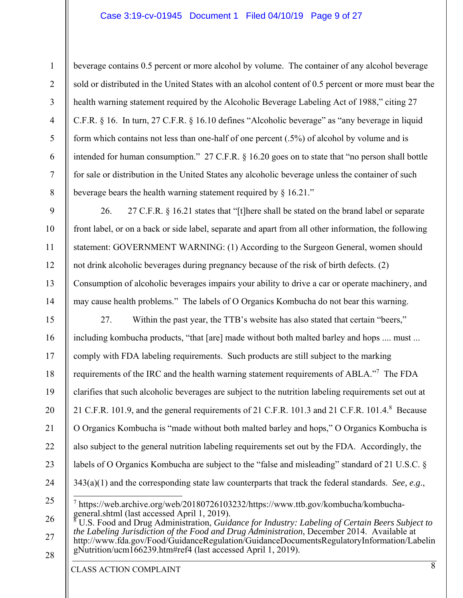### Case 3:19-cv-01945 Document 1 Filed 04/10/19 Page 9 of 27

beverage contains 0.5 percent or more alcohol by volume. The container of any alcohol beverage sold or distributed in the United States with an alcohol content of 0.5 percent or more must bear the health warning statement required by the Alcoholic Beverage Labeling Act of 1988," citing 27 C.F.R. § 16. In turn, 27 C.F.R. § 16.10 defines "Alcoholic beverage" as "any beverage in liquid form which contains not less than one-half of one percent (.5%) of alcohol by volume and is intended for human consumption." 27 C.F.R. § 16.20 goes on to state that "no person shall bottle for sale or distribution in the United States any alcoholic beverage unless the container of such beverage bears the health warning statement required by § 16.21."

9 10 11 12 13 14 26. 27 C.F.R. § 16.21 states that "[t]here shall be stated on the brand label or separate front label, or on a back or side label, separate and apart from all other information, the following statement: GOVERNMENT WARNING: (1) According to the Surgeon General, women should not drink alcoholic beverages during pregnancy because of the risk of birth defects. (2) Consumption of alcoholic beverages impairs your ability to drive a car or operate machinery, and may cause health problems." The labels of O Organics Kombucha do not bear this warning.

15 16 17 18 19 20 21 22 23 24 25 26 27. Within the past year, the TTB's website has also stated that certain "beers," including kombucha products, "that [are] made without both malted barley and hops .... must ... comply with FDA labeling requirements. Such products are still subject to the marking requirements of the IRC and the health warning statement requirements of ABLA."<sup>7</sup> The FDA clarifies that such alcoholic beverages are subject to the nutrition labeling requirements set out at 21 C.F.R. 101.9, and the general requirements of 21 C.F.R. 101.3 and 21 C.F.R. 101.4.8 Because O Organics Kombucha is "made without both malted barley and hops," O Organics Kombucha is also subject to the general nutrition labeling requirements set out by the FDA. Accordingly, the labels of O Organics Kombucha are subject to the "false and misleading" standard of 21 U.S.C. § 343(a)(1) and the corresponding state law counterparts that track the federal standards. *See, e.g*.,  $\overline{a}$ 7 https://web.archive.org/web/20180726103232/https://www.ttb.gov/kombucha/kombuchageneral.shtml (last accessed April 1, 2019).<br>If S. Food and Drug Administration *Guid*  U.S. Food and Drug Administration, *Guidance for Industry: Labeling of Certain Beers Subject to the Labeling Jurisdiction of the Food and Drug Administration*, December 2014. Available at

27 28 http://www.fda.gov/Food/GuidanceRegulation/GuidanceDocumentsRegulatoryInformation/Labelin gNutrition/ucm166239.htm#ref4 (last accessed April 1, 2019).

CLASS ACTION COMPLAINT

1

2

3

4

5

6

7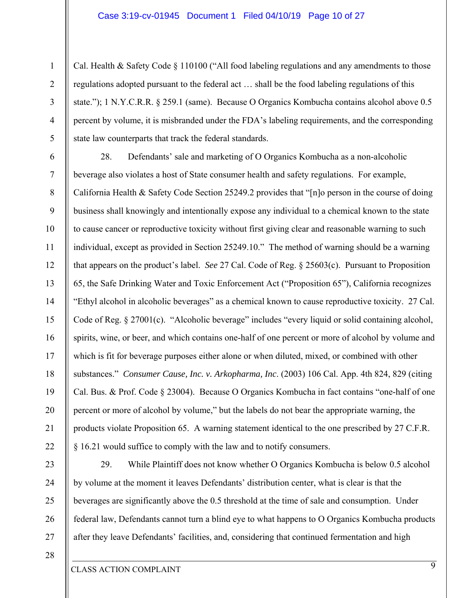Cal. Health & Safety Code § 110100 ("All food labeling regulations and any amendments to those regulations adopted pursuant to the federal act … shall be the food labeling regulations of this state."); 1 N.Y.C.R.R. § 259.1 (same). Because O Organics Kombucha contains alcohol above 0.5 percent by volume, it is misbranded under the FDA's labeling requirements, and the corresponding state law counterparts that track the federal standards.

6 7 8 9 10 11 12 13 14 15 16 17 18 19 20 21 22 28. Defendants' sale and marketing of O Organics Kombucha as a non-alcoholic beverage also violates a host of State consumer health and safety regulations. For example, California Health & Safety Code Section 25249.2 provides that "[n]o person in the course of doing business shall knowingly and intentionally expose any individual to a chemical known to the state to cause cancer or reproductive toxicity without first giving clear and reasonable warning to such individual, except as provided in Section 25249.10." The method of warning should be a warning that appears on the product's label. *See* 27 Cal. Code of Reg. § 25603(c). Pursuant to Proposition 65, the Safe Drinking Water and Toxic Enforcement Act ("Proposition 65"), California recognizes "Ethyl alcohol in alcoholic beverages" as a chemical known to cause reproductive toxicity. 27 Cal. Code of Reg. § 27001(c). "Alcoholic beverage" includes "every liquid or solid containing alcohol, spirits, wine, or beer, and which contains one-half of one percent or more of alcohol by volume and which is fit for beverage purposes either alone or when diluted, mixed, or combined with other substances." *Consumer Cause, Inc. v. Arkopharma, Inc*. (2003) 106 Cal. App. 4th 824, 829 (citing Cal. Bus. & Prof. Code § 23004). Because O Organics Kombucha in fact contains "one-half of one percent or more of alcohol by volume," but the labels do not bear the appropriate warning, the products violate Proposition 65. A warning statement identical to the one prescribed by 27 C.F.R. § 16.21 would suffice to comply with the law and to notify consumers.

1

2

3

4

5

29. While Plaintiff does not know whether O Organics Kombucha is below 0.5 alcohol by volume at the moment it leaves Defendants' distribution center, what is clear is that the beverages are significantly above the 0.5 threshold at the time of sale and consumption. Under federal law, Defendants cannot turn a blind eye to what happens to O Organics Kombucha products after they leave Defendants' facilities, and, considering that continued fermentation and high

28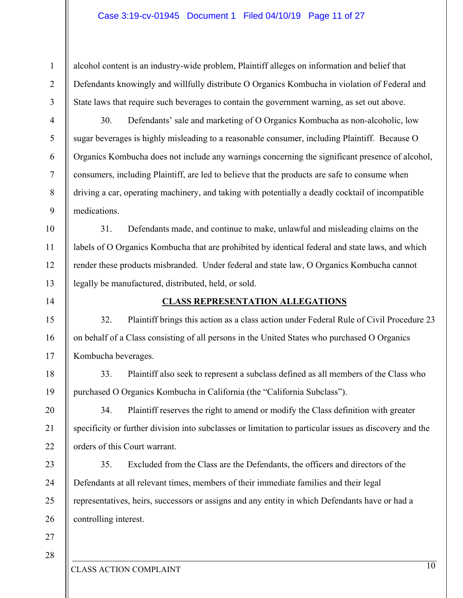alcohol content is an industry-wide problem, Plaintiff alleges on information and belief that Defendants knowingly and willfully distribute O Organics Kombucha in violation of Federal and State laws that require such beverages to contain the government warning, as set out above.

4

1

2

3

5

6

7

8

9

10

11

12

13

30. Defendants' sale and marketing of O Organics Kombucha as non-alcoholic, low sugar beverages is highly misleading to a reasonable consumer, including Plaintiff. Because O Organics Kombucha does not include any warnings concerning the significant presence of alcohol, consumers, including Plaintiff, are led to believe that the products are safe to consume when driving a car, operating machinery, and taking with potentially a deadly cocktail of incompatible medications.

31. Defendants made, and continue to make, unlawful and misleading claims on the labels of O Organics Kombucha that are prohibited by identical federal and state laws, and which render these products misbranded. Under federal and state law, O Organics Kombucha cannot legally be manufactured, distributed, held, or sold.

14

15

16

17

18

19

20

21

22

23

24

25

26

### **CLASS REPRESENTATION ALLEGATIONS**

32. Plaintiff brings this action as a class action under Federal Rule of Civil Procedure 23 on behalf of a Class consisting of all persons in the United States who purchased O Organics Kombucha beverages.

33. Plaintiff also seek to represent a subclass defined as all members of the Class who purchased O Organics Kombucha in California (the "California Subclass").

34. Plaintiff reserves the right to amend or modify the Class definition with greater specificity or further division into subclasses or limitation to particular issues as discovery and the orders of this Court warrant.

35. Excluded from the Class are the Defendants, the officers and directors of the Defendants at all relevant times, members of their immediate families and their legal representatives, heirs, successors or assigns and any entity in which Defendants have or had a controlling interest.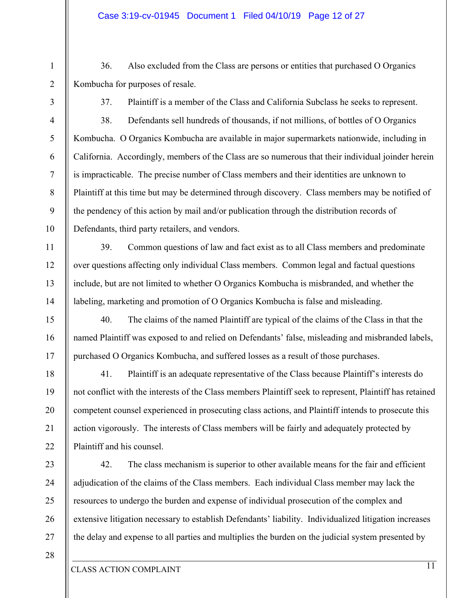- 36. Also excluded from the Class are persons or entities that purchased O Organics Kombucha for purposes of resale.
	-

1

2

3

4

5

6

7

8

9

10

11

12

13

14

15

16

17

18

19

20

21

22

23

24

25

26

27

37. Plaintiff is a member of the Class and California Subclass he seeks to represent.

38. Defendants sell hundreds of thousands, if not millions, of bottles of O Organics Kombucha. O Organics Kombucha are available in major supermarkets nationwide, including in California. Accordingly, members of the Class are so numerous that their individual joinder herein is impracticable. The precise number of Class members and their identities are unknown to Plaintiff at this time but may be determined through discovery. Class members may be notified of the pendency of this action by mail and/or publication through the distribution records of Defendants, third party retailers, and vendors.

39. Common questions of law and fact exist as to all Class members and predominate over questions affecting only individual Class members. Common legal and factual questions include, but are not limited to whether O Organics Kombucha is misbranded, and whether the labeling, marketing and promotion of O Organics Kombucha is false and misleading.

40. The claims of the named Plaintiff are typical of the claims of the Class in that the named Plaintiff was exposed to and relied on Defendants' false, misleading and misbranded labels, purchased O Organics Kombucha, and suffered losses as a result of those purchases.

41. Plaintiff is an adequate representative of the Class because Plaintiff's interests do not conflict with the interests of the Class members Plaintiff seek to represent, Plaintiff has retained competent counsel experienced in prosecuting class actions, and Plaintiff intends to prosecute this action vigorously. The interests of Class members will be fairly and adequately protected by Plaintiff and his counsel.

42. The class mechanism is superior to other available means for the fair and efficient adjudication of the claims of the Class members. Each individual Class member may lack the resources to undergo the burden and expense of individual prosecution of the complex and extensive litigation necessary to establish Defendants' liability. Individualized litigation increases the delay and expense to all parties and multiplies the burden on the judicial system presented by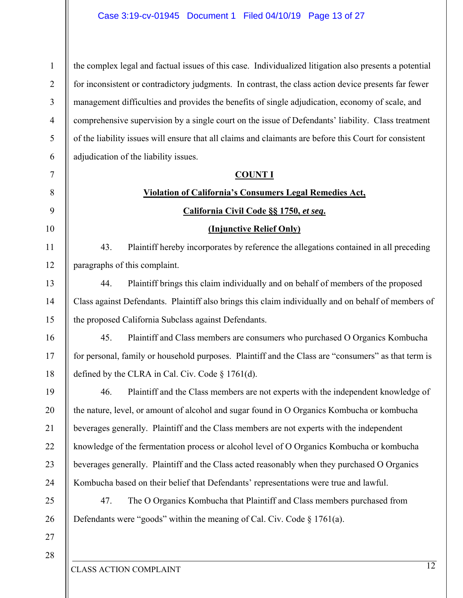1 2 3 4 5 6 the complex legal and factual issues of this case. Individualized litigation also presents a potential for inconsistent or contradictory judgments. In contrast, the class action device presents far fewer management difficulties and provides the benefits of single adjudication, economy of scale, and comprehensive supervision by a single court on the issue of Defendants' liability. Class treatment of the liability issues will ensure that all claims and claimants are before this Court for consistent adjudication of the liability issues.

#### **COUNT I**

# **Violation of California's Consumers Legal Remedies Act,**

### **California Civil Code §§ 1750,** *et seq***.**

### **(Injunctive Relief Only)**

43. Plaintiff hereby incorporates by reference the allegations contained in all preceding paragraphs of this complaint.

44. Plaintiff brings this claim individually and on behalf of members of the proposed Class against Defendants. Plaintiff also brings this claim individually and on behalf of members of the proposed California Subclass against Defendants.

45. Plaintiff and Class members are consumers who purchased O Organics Kombucha for personal, family or household purposes. Plaintiff and the Class are "consumers" as that term is defined by the CLRA in Cal. Civ. Code § 1761(d).

46. Plaintiff and the Class members are not experts with the independent knowledge of the nature, level, or amount of alcohol and sugar found in O Organics Kombucha or kombucha beverages generally. Plaintiff and the Class members are not experts with the independent knowledge of the fermentation process or alcohol level of O Organics Kombucha or kombucha beverages generally. Plaintiff and the Class acted reasonably when they purchased O Organics Kombucha based on their belief that Defendants' representations were true and lawful.

47. The O Organics Kombucha that Plaintiff and Class members purchased from Defendants were "goods" within the meaning of Cal. Civ. Code § 1761(a).

28

27

7

8

9

10

11

12

13

14

15

16

17

18

19

20

21

22

23

24

25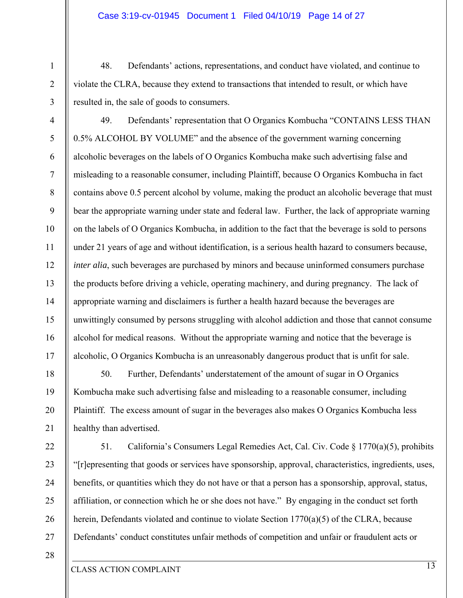### Case 3:19-cv-01945 Document 1 Filed 04/10/19 Page 14 of 27

48. Defendants' actions, representations, and conduct have violated, and continue to violate the CLRA, because they extend to transactions that intended to result, or which have resulted in, the sale of goods to consumers.

49. Defendants' representation that O Organics Kombucha "CONTAINS LESS THAN 0.5% ALCOHOL BY VOLUME" and the absence of the government warning concerning alcoholic beverages on the labels of O Organics Kombucha make such advertising false and misleading to a reasonable consumer, including Plaintiff, because O Organics Kombucha in fact contains above 0.5 percent alcohol by volume, making the product an alcoholic beverage that must bear the appropriate warning under state and federal law. Further, the lack of appropriate warning on the labels of O Organics Kombucha, in addition to the fact that the beverage is sold to persons under 21 years of age and without identification, is a serious health hazard to consumers because, *inter alia*, such beverages are purchased by minors and because uninformed consumers purchase the products before driving a vehicle, operating machinery, and during pregnancy. The lack of appropriate warning and disclaimers is further a health hazard because the beverages are unwittingly consumed by persons struggling with alcohol addiction and those that cannot consume alcohol for medical reasons. Without the appropriate warning and notice that the beverage is alcoholic, O Organics Kombucha is an unreasonably dangerous product that is unfit for sale.

50. Further, Defendants' understatement of the amount of sugar in O Organics Kombucha make such advertising false and misleading to a reasonable consumer, including Plaintiff. The excess amount of sugar in the beverages also makes O Organics Kombucha less healthy than advertised.

51. California's Consumers Legal Remedies Act, Cal. Civ. Code § 1770(a)(5), prohibits "[r]epresenting that goods or services have sponsorship, approval, characteristics, ingredients, uses, benefits, or quantities which they do not have or that a person has a sponsorship, approval, status, affiliation, or connection which he or she does not have." By engaging in the conduct set forth herein, Defendants violated and continue to violate Section 1770(a)(5) of the CLRA, because Defendants' conduct constitutes unfair methods of competition and unfair or fraudulent acts or

28

1

2

3

4

5

6

7

8

9

10

11

12

13

14

15

16

17

18

19

20

21

22

23

24

25

26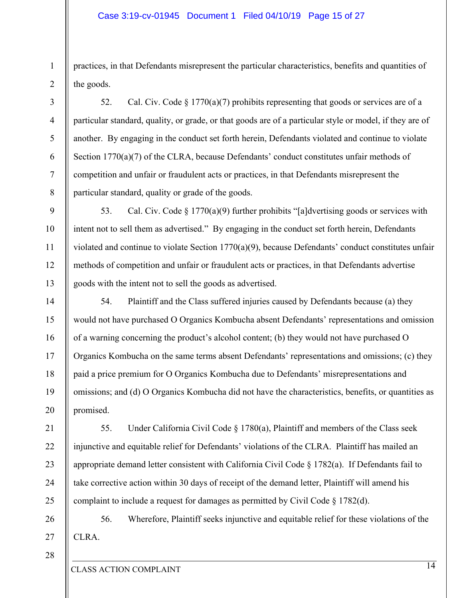### Case 3:19-cv-01945 Document 1 Filed 04/10/19 Page 15 of 27

practices, in that Defendants misrepresent the particular characteristics, benefits and quantities of the goods.

52. Cal. Civ. Code  $\S 1770(a)(7)$  prohibits representing that goods or services are of a particular standard, quality, or grade, or that goods are of a particular style or model, if they are of another. By engaging in the conduct set forth herein, Defendants violated and continue to violate Section 1770(a)(7) of the CLRA, because Defendants' conduct constitutes unfair methods of competition and unfair or fraudulent acts or practices, in that Defendants misrepresent the particular standard, quality or grade of the goods.

53. Cal. Civ. Code  $\S 1770(a)(9)$  further prohibits "[a]dvertising goods or services with intent not to sell them as advertised." By engaging in the conduct set forth herein, Defendants violated and continue to violate Section 1770(a)(9), because Defendants' conduct constitutes unfair methods of competition and unfair or fraudulent acts or practices, in that Defendants advertise goods with the intent not to sell the goods as advertised.

54. Plaintiff and the Class suffered injuries caused by Defendants because (a) they would not have purchased O Organics Kombucha absent Defendants' representations and omission of a warning concerning the product's alcohol content; (b) they would not have purchased O Organics Kombucha on the same terms absent Defendants' representations and omissions; (c) they paid a price premium for O Organics Kombucha due to Defendants' misrepresentations and omissions; and (d) O Organics Kombucha did not have the characteristics, benefits, or quantities as promised.

55. Under California Civil Code § 1780(a), Plaintiff and members of the Class seek injunctive and equitable relief for Defendants' violations of the CLRA. Plaintiff has mailed an appropriate demand letter consistent with California Civil Code § 1782(a). If Defendants fail to take corrective action within 30 days of receipt of the demand letter, Plaintiff will amend his complaint to include a request for damages as permitted by Civil Code § 1782(d).

27 56. Wherefore, Plaintiff seeks injunctive and equitable relief for these violations of the CLRA.

28

1

2

3

4

5

6

7

8

9

10

11

12

13

14

15

16

17

18

19

20

21

22

23

24

25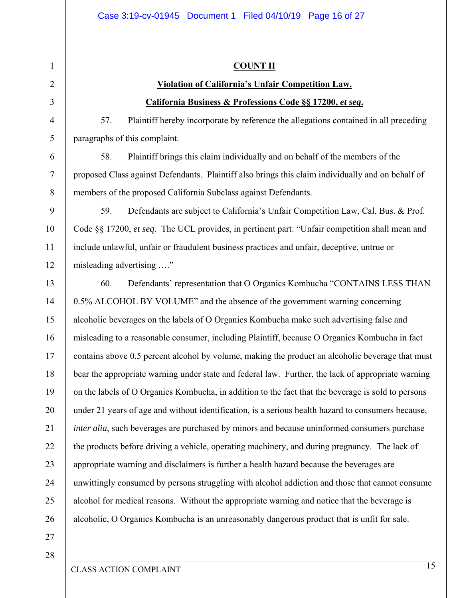### **COUNT II**

### **Violation of California's Unfair Competition Law, California Business & Professions Code §§ 17200,** *et seq***.**

57. Plaintiff hereby incorporate by reference the allegations contained in all preceding paragraphs of this complaint.

58. Plaintiff brings this claim individually and on behalf of the members of the proposed Class against Defendants. Plaintiff also brings this claim individually and on behalf of members of the proposed California Subclass against Defendants.

59. Defendants are subject to California's Unfair Competition Law, Cal. Bus. & Prof. Code §§ 17200, *et seq*. The UCL provides, in pertinent part: "Unfair competition shall mean and include unlawful, unfair or fraudulent business practices and unfair, deceptive, untrue or misleading advertising …."

13 14 15 16 17 18 19 20 22 23 24 25 26 60. Defendants' representation that O Organics Kombucha "CONTAINS LESS THAN 0.5% ALCOHOL BY VOLUME" and the absence of the government warning concerning alcoholic beverages on the labels of O Organics Kombucha make such advertising false and misleading to a reasonable consumer, including Plaintiff, because O Organics Kombucha in fact contains above 0.5 percent alcohol by volume, making the product an alcoholic beverage that must bear the appropriate warning under state and federal law. Further, the lack of appropriate warning on the labels of O Organics Kombucha, in addition to the fact that the beverage is sold to persons under 21 years of age and without identification, is a serious health hazard to consumers because, *inter alia*, such beverages are purchased by minors and because uninformed consumers purchase the products before driving a vehicle, operating machinery, and during pregnancy. The lack of appropriate warning and disclaimers is further a health hazard because the beverages are unwittingly consumed by persons struggling with alcohol addiction and those that cannot consume alcohol for medical reasons. Without the appropriate warning and notice that the beverage is alcoholic, O Organics Kombucha is an unreasonably dangerous product that is unfit for sale.

27 28

21

1

2

3

4

5

6

7

8

9

10

11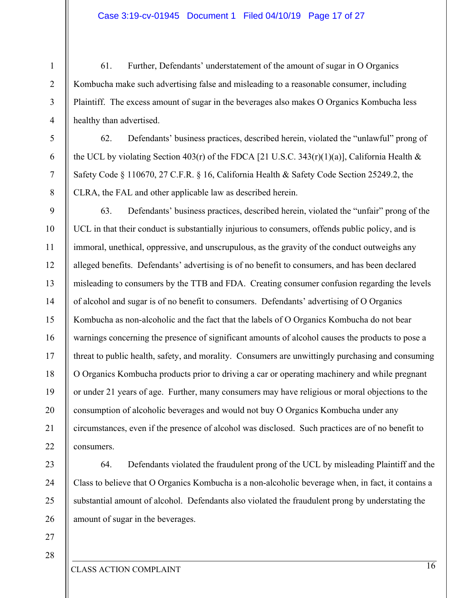61. Further, Defendants' understatement of the amount of sugar in O Organics Kombucha make such advertising false and misleading to a reasonable consumer, including Plaintiff. The excess amount of sugar in the beverages also makes O Organics Kombucha less healthy than advertised.

62. Defendants' business practices, described herein, violated the "unlawful" prong of the UCL by violating Section 403(r) of the FDCA [21 U.S.C. 343(r)(1)(a)], California Health  $\&$ Safety Code § 110670, 27 C.F.R. § 16, California Health & Safety Code Section 25249.2, the CLRA, the FAL and other applicable law as described herein.

14 19 63. Defendants' business practices, described herein, violated the "unfair" prong of the UCL in that their conduct is substantially injurious to consumers, offends public policy, and is immoral, unethical, oppressive, and unscrupulous, as the gravity of the conduct outweighs any alleged benefits. Defendants' advertising is of no benefit to consumers, and has been declared misleading to consumers by the TTB and FDA. Creating consumer confusion regarding the levels of alcohol and sugar is of no benefit to consumers. Defendants' advertising of O Organics Kombucha as non-alcoholic and the fact that the labels of O Organics Kombucha do not bear warnings concerning the presence of significant amounts of alcohol causes the products to pose a threat to public health, safety, and morality. Consumers are unwittingly purchasing and consuming O Organics Kombucha products prior to driving a car or operating machinery and while pregnant or under 21 years of age. Further, many consumers may have religious or moral objections to the consumption of alcoholic beverages and would not buy O Organics Kombucha under any circumstances, even if the presence of alcohol was disclosed. Such practices are of no benefit to consumers.

64. Defendants violated the fraudulent prong of the UCL by misleading Plaintiff and the Class to believe that O Organics Kombucha is a non-alcoholic beverage when, in fact, it contains a substantial amount of alcohol. Defendants also violated the fraudulent prong by understating the amount of sugar in the beverages.

27 28

1

2

3

4

5

6

7

8

9

10

11

12

13

15

16

17

18

20

21

22

23

24

25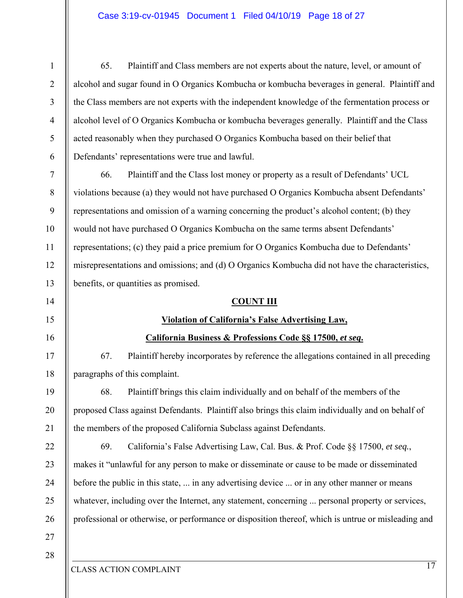### Case 3:19-cv-01945 Document 1 Filed 04/10/19 Page 18 of 27

65. Plaintiff and Class members are not experts about the nature, level, or amount of alcohol and sugar found in O Organics Kombucha or kombucha beverages in general. Plaintiff and the Class members are not experts with the independent knowledge of the fermentation process or alcohol level of O Organics Kombucha or kombucha beverages generally. Plaintiff and the Class acted reasonably when they purchased O Organics Kombucha based on their belief that Defendants' representations were true and lawful.

7 8 9 10 11 12 13 66. Plaintiff and the Class lost money or property as a result of Defendants' UCL violations because (a) they would not have purchased O Organics Kombucha absent Defendants' representations and omission of a warning concerning the product's alcohol content; (b) they would not have purchased O Organics Kombucha on the same terms absent Defendants' representations; (c) they paid a price premium for O Organics Kombucha due to Defendants' misrepresentations and omissions; and (d) O Organics Kombucha did not have the characteristics, benefits, or quantities as promised.

### **COUNT III**

### **Violation of California's False Advertising Law,**

### **California Business & Professions Code §§ 17500,** *et seq***.**

67. Plaintiff hereby incorporates by reference the allegations contained in all preceding paragraphs of this complaint.

68. Plaintiff brings this claim individually and on behalf of the members of the proposed Class against Defendants. Plaintiff also brings this claim individually and on behalf of the members of the proposed California Subclass against Defendants.

69. California's False Advertising Law, Cal. Bus. & Prof. Code §§ 17500, *et seq.*, makes it "unlawful for any person to make or disseminate or cause to be made or disseminated before the public in this state, ... in any advertising device ... or in any other manner or means whatever, including over the Internet, any statement, concerning ... personal property or services, professional or otherwise, or performance or disposition thereof, which is untrue or misleading and

28

27

1

2

3

4

5

6

14

15

16

17

18

19

20

21

22

23

24

25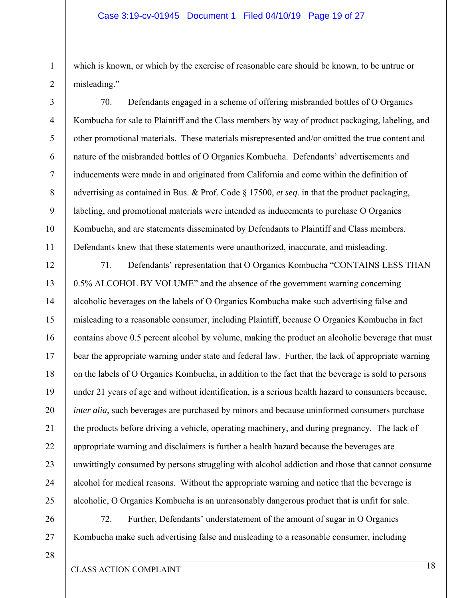which is known, or which by the exercise of reasonable care should be known, to be untrue or misleading."

70. Defendants engaged in a scheme of offering misbranded bottles of O Organics Kombucha for sale to Plaintiff and the Class members by way of product packaging, labeling, and other promotional materials. These materials misrepresented and/or omitted the true content and nature of the misbranded bottles of O Organics Kombucha. Defendants' advertisements and inducements were made in and originated from California and come within the definition of advertising as contained in Bus. & Prof. Code § 17500, *et seq*. in that the product packaging, labeling, and promotional materials were intended as inducements to purchase O Organics Kombucha, and are statements disseminated by Defendants to Plaintiff and Class members. Defendants knew that these statements were unauthorized, inaccurate, and misleading.

12 13 14 15 16 17 18 19 20 21 22 23 24 25 71. Defendants' representation that O Organics Kombucha "CONTAINS LESS THAN 0.5% ALCOHOL BY VOLUME" and the absence of the government warning concerning alcoholic beverages on the labels of O Organics Kombucha make such advertising false and misleading to a reasonable consumer, including Plaintiff, because O Organics Kombucha in fact contains above 0.5 percent alcohol by volume, making the product an alcoholic beverage that must bear the appropriate warning under state and federal law. Further, the lack of appropriate warning on the labels of O Organics Kombucha, in addition to the fact that the beverage is sold to persons under 21 years of age and without identification, is a serious health hazard to consumers because, *inter alia*, such beverages are purchased by minors and because uninformed consumers purchase the products before driving a vehicle, operating machinery, and during pregnancy. The lack of appropriate warning and disclaimers is further a health hazard because the beverages are unwittingly consumed by persons struggling with alcohol addiction and those that cannot consume alcohol for medical reasons. Without the appropriate warning and notice that the beverage is alcoholic, O Organics Kombucha is an unreasonably dangerous product that is unfit for sale.

26 27

1

2

3

4

5

6

7

8

9

10

11

72. Further, Defendants' understatement of the amount of sugar in O Organics Kombucha make such advertising false and misleading to a reasonable consumer, including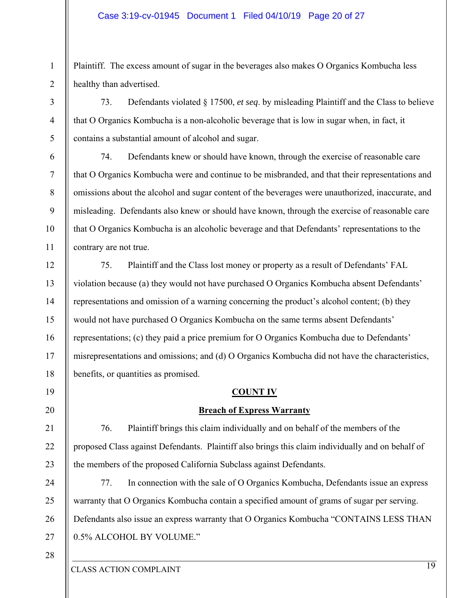### Case 3:19-cv-01945 Document 1 Filed 04/10/19 Page 20 of 27

Plaintiff. The excess amount of sugar in the beverages also makes O Organics Kombucha less healthy than advertised.

73. Defendants violated § 17500, *et seq*. by misleading Plaintiff and the Class to believe that O Organics Kombucha is a non-alcoholic beverage that is low in sugar when, in fact, it contains a substantial amount of alcohol and sugar.

74. Defendants knew or should have known, through the exercise of reasonable care that O Organics Kombucha were and continue to be misbranded, and that their representations and omissions about the alcohol and sugar content of the beverages were unauthorized, inaccurate, and misleading. Defendants also knew or should have known, through the exercise of reasonable care that O Organics Kombucha is an alcoholic beverage and that Defendants' representations to the contrary are not true.

75. Plaintiff and the Class lost money or property as a result of Defendants' FAL violation because (a) they would not have purchased O Organics Kombucha absent Defendants' representations and omission of a warning concerning the product's alcohol content; (b) they would not have purchased O Organics Kombucha on the same terms absent Defendants' representations; (c) they paid a price premium for O Organics Kombucha due to Defendants' misrepresentations and omissions; and (d) O Organics Kombucha did not have the characteristics, benefits, or quantities as promised.

### **COUNT IV**

### **Breach of Express Warranty**

76. Plaintiff brings this claim individually and on behalf of the members of the proposed Class against Defendants. Plaintiff also brings this claim individually and on behalf of the members of the proposed California Subclass against Defendants.

27 77. In connection with the sale of O Organics Kombucha, Defendants issue an express warranty that O Organics Kombucha contain a specified amount of grams of sugar per serving. Defendants also issue an express warranty that O Organics Kombucha "CONTAINS LESS THAN 0.5% ALCOHOL BY VOLUME."

28

1

2

3

4

5

6

7

8

9

10

11

12

13

14

15

16

17

18

19

20

21

22

23

24

25

26

CLASS ACTION COMPLAINT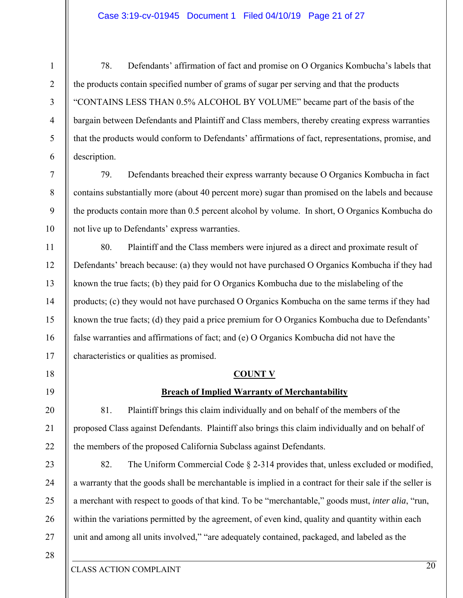### Case 3:19-cv-01945 Document 1 Filed 04/10/19 Page 21 of 27

78. Defendants' affirmation of fact and promise on O Organics Kombucha's labels that the products contain specified number of grams of sugar per serving and that the products "CONTAINS LESS THAN 0.5% ALCOHOL BY VOLUME" became part of the basis of the bargain between Defendants and Plaintiff and Class members, thereby creating express warranties that the products would conform to Defendants' affirmations of fact, representations, promise, and description.

79. Defendants breached their express warranty because O Organics Kombucha in fact contains substantially more (about 40 percent more) sugar than promised on the labels and because the products contain more than 0.5 percent alcohol by volume. In short, O Organics Kombucha do not live up to Defendants' express warranties.

14 80. Plaintiff and the Class members were injured as a direct and proximate result of Defendants' breach because: (a) they would not have purchased O Organics Kombucha if they had known the true facts; (b) they paid for O Organics Kombucha due to the mislabeling of the products; (c) they would not have purchased O Organics Kombucha on the same terms if they had known the true facts; (d) they paid a price premium for O Organics Kombucha due to Defendants' false warranties and affirmations of fact; and (e) O Organics Kombucha did not have the characteristics or qualities as promised.

### **COUNT V**

### **Breach of Implied Warranty of Merchantability**

81. Plaintiff brings this claim individually and on behalf of the members of the proposed Class against Defendants. Plaintiff also brings this claim individually and on behalf of the members of the proposed California Subclass against Defendants.

82. The Uniform Commercial Code § 2-314 provides that, unless excluded or modified, a warranty that the goods shall be merchantable is implied in a contract for their sale if the seller is a merchant with respect to goods of that kind. To be "merchantable," goods must, *inter alia*, "run, within the variations permitted by the agreement, of even kind, quality and quantity within each unit and among all units involved," "are adequately contained, packaged, and labeled as the

28

1

2

3

4

5

6

7

8

9

10

11

12

13

15

16

17

18

19

20

21

22

23

24

25

26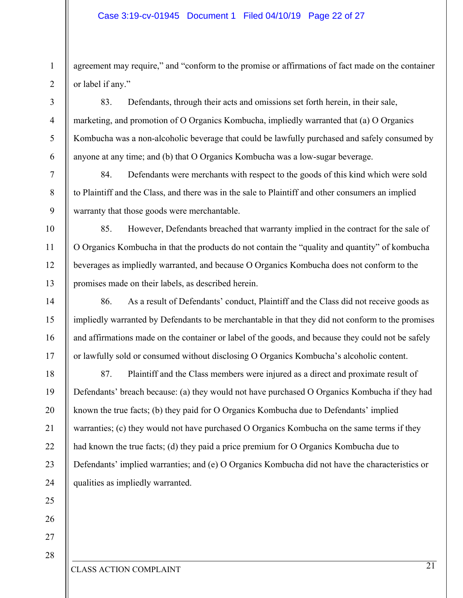agreement may require," and "conform to the promise or affirmations of fact made on the container or label if any."

83. Defendants, through their acts and omissions set forth herein, in their sale, marketing, and promotion of O Organics Kombucha, impliedly warranted that (a) O Organics Kombucha was a non-alcoholic beverage that could be lawfully purchased and safely consumed by anyone at any time; and (b) that O Organics Kombucha was a low-sugar beverage.

84. Defendants were merchants with respect to the goods of this kind which were sold to Plaintiff and the Class, and there was in the sale to Plaintiff and other consumers an implied warranty that those goods were merchantable.

85. However, Defendants breached that warranty implied in the contract for the sale of O Organics Kombucha in that the products do not contain the "quality and quantity" of kombucha beverages as impliedly warranted, and because O Organics Kombucha does not conform to the promises made on their labels, as described herein.

86. As a result of Defendants' conduct, Plaintiff and the Class did not receive goods as impliedly warranted by Defendants to be merchantable in that they did not conform to the promises and affirmations made on the container or label of the goods, and because they could not be safely or lawfully sold or consumed without disclosing O Organics Kombucha's alcoholic content.

87. Plaintiff and the Class members were injured as a direct and proximate result of Defendants' breach because: (a) they would not have purchased O Organics Kombucha if they had known the true facts; (b) they paid for O Organics Kombucha due to Defendants' implied warranties; (c) they would not have purchased O Organics Kombucha on the same terms if they had known the true facts; (d) they paid a price premium for O Organics Kombucha due to Defendants' implied warranties; and (e) O Organics Kombucha did not have the characteristics or qualities as impliedly warranted.

### 2 3

4

5

6

7

8

9

10

11

12

13

14

15

16

17

18

19

20

21

22

23

24

25

26

27

28

1

CLASS ACTION COMPLAINT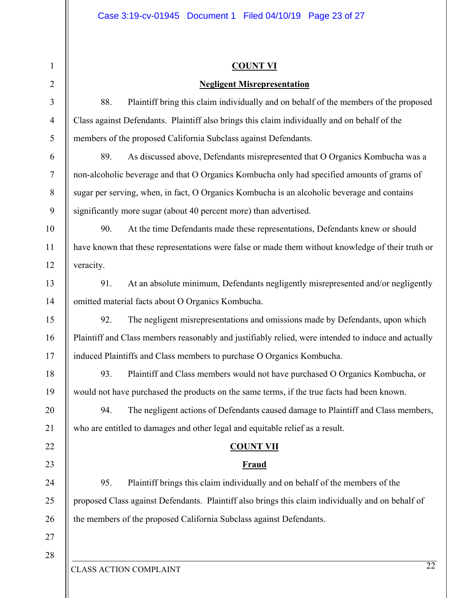|           | <b>COUNT VI</b>                                                                                     |
|-----------|-----------------------------------------------------------------------------------------------------|
|           | <b>Negligent Misrepresentation</b>                                                                  |
| 88.       | Plaintiff bring this claim individually and on behalf of the members of the proposed                |
|           | Class against Defendants. Plaintiff also brings this claim individually and on behalf of the        |
|           | members of the proposed California Subclass against Defendants.                                     |
| 89.       | As discussed above, Defendants misrepresented that O Organics Kombucha was a                        |
|           | non-alcoholic beverage and that O Organics Kombucha only had specified amounts of grams of          |
|           | sugar per serving, when, in fact, O Organics Kombucha is an alcoholic beverage and contains         |
|           | significantly more sugar (about 40 percent more) than advertised.                                   |
| 90.       | At the time Defendants made these representations, Defendants knew or should                        |
|           | have known that these representations were false or made them without knowledge of their truth or   |
| veracity. |                                                                                                     |
| 91.       | At an absolute minimum, Defendants negligently misrepresented and/or negligently                    |
|           | omitted material facts about O Organics Kombucha.                                                   |
| 92.       | The negligent misrepresentations and omissions made by Defendants, upon which                       |
|           | Plaintiff and Class members reasonably and justifiably relied, were intended to induce and actually |
|           | induced Plaintiffs and Class members to purchase O Organics Kombucha.                               |
| 93.       | Plaintiff and Class members would not have purchased O Organics Kombucha, or                        |
|           | would not have purchased the products on the same terms, if the true facts had been known.          |
| 94.       | The negligent actions of Defendants caused damage to Plaintiff and Class members,                   |
|           | who are entitled to damages and other legal and equitable relief as a result.                       |
|           | <b>COUNT VII</b>                                                                                    |
|           | <b>Fraud</b>                                                                                        |
| 95.       | Plaintiff brings this claim individually and on behalf of the members of the                        |
|           | proposed Class against Defendants. Plaintiff also brings this claim individually and on behalf of   |
|           | the members of the proposed California Subclass against Defendants.                                 |
|           |                                                                                                     |
|           |                                                                                                     |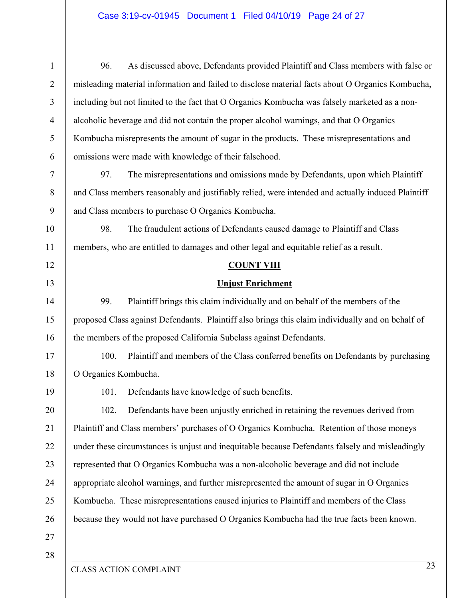### Case 3:19-cv-01945 Document 1 Filed 04/10/19 Page 24 of 27

| $\mathbf{1}$   | 96.                                                                                             | As discussed above, Defendants provided Plaintiff and Class members with false or                 |  |
|----------------|-------------------------------------------------------------------------------------------------|---------------------------------------------------------------------------------------------------|--|
| $\overline{2}$ |                                                                                                 | misleading material information and failed to disclose material facts about O Organics Kombucha,  |  |
| 3              | including but not limited to the fact that O Organics Kombucha was falsely marketed as a non-   |                                                                                                   |  |
| $\overline{4}$ | alcoholic beverage and did not contain the proper alcohol warnings, and that O Organics         |                                                                                                   |  |
| 5              |                                                                                                 | Kombucha misrepresents the amount of sugar in the products. These misrepresentations and          |  |
| 6              |                                                                                                 | omissions were made with knowledge of their falsehood.                                            |  |
| $\overline{7}$ | 97.                                                                                             | The misrepresentations and omissions made by Defendants, upon which Plaintiff                     |  |
| 8              |                                                                                                 | and Class members reasonably and justifiably relied, were intended and actually induced Plaintiff |  |
| 9              |                                                                                                 | and Class members to purchase O Organics Kombucha.                                                |  |
| 10             | 98.                                                                                             | The fraudulent actions of Defendants caused damage to Plaintiff and Class                         |  |
| 11             |                                                                                                 | members, who are entitled to damages and other legal and equitable relief as a result.            |  |
| 12             |                                                                                                 | <b>COUNT VIII</b>                                                                                 |  |
| 13             |                                                                                                 | <b>Unjust Enrichment</b>                                                                          |  |
| 14             | 99.                                                                                             | Plaintiff brings this claim individually and on behalf of the members of the                      |  |
| 15             |                                                                                                 | proposed Class against Defendants. Plaintiff also brings this claim individually and on behalf of |  |
| 16             |                                                                                                 | the members of the proposed California Subclass against Defendants.                               |  |
| 17             | 100.                                                                                            | Plaintiff and members of the Class conferred benefits on Defendants by purchasing                 |  |
| 18             | O Organics Kombucha.                                                                            |                                                                                                   |  |
| 19             | 101.                                                                                            | Defendants have knowledge of such benefits.                                                       |  |
| 20             | 102.                                                                                            | Defendants have been unjustly enriched in retaining the revenues derived from                     |  |
| 21             |                                                                                                 | Plaintiff and Class members' purchases of O Organics Kombucha. Retention of those moneys          |  |
| 22             | under these circumstances is unjust and inequitable because Defendants falsely and misleadingly |                                                                                                   |  |
| 23             | represented that O Organics Kombucha was a non-alcoholic beverage and did not include           |                                                                                                   |  |
| 24             | appropriate alcohol warnings, and further misrepresented the amount of sugar in O Organics      |                                                                                                   |  |
| 25             |                                                                                                 | Kombucha. These misrepresentations caused injuries to Plaintiff and members of the Class          |  |
| 26             |                                                                                                 | because they would not have purchased O Organics Kombucha had the true facts been known.          |  |
| 27             |                                                                                                 |                                                                                                   |  |
| 28             |                                                                                                 |                                                                                                   |  |
|                |                                                                                                 | $\overline{23}$                                                                                   |  |

CLASS ACTION COMPLAINT

II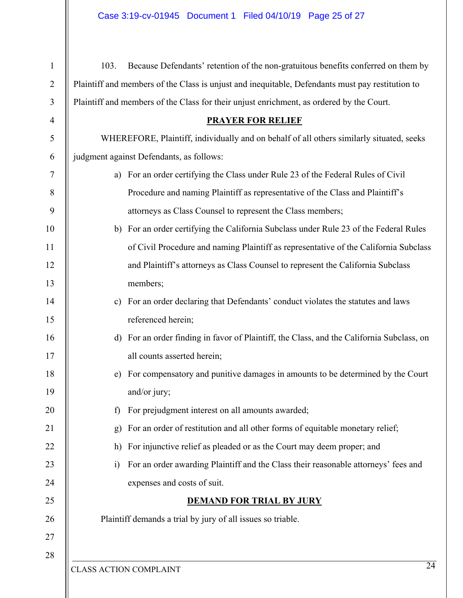| $\mathbf{1}$   | Because Defendants' retention of the non-gratuitous benefits conferred on them by<br>103.               |  |  |
|----------------|---------------------------------------------------------------------------------------------------------|--|--|
| $\overline{2}$ | Plaintiff and members of the Class is unjust and inequitable, Defendants must pay restitution to        |  |  |
| 3              | Plaintiff and members of the Class for their unjust enrichment, as ordered by the Court.                |  |  |
| $\overline{4}$ | <b>PRAYER FOR RELIEF</b>                                                                                |  |  |
| 5              | WHEREFORE, Plaintiff, individually and on behalf of all others similarly situated, seeks                |  |  |
| 6              | judgment against Defendants, as follows:                                                                |  |  |
| $\tau$         | For an order certifying the Class under Rule 23 of the Federal Rules of Civil<br>a)                     |  |  |
| $\,8\,$        | Procedure and naming Plaintiff as representative of the Class and Plaintiff's                           |  |  |
| 9              | attorneys as Class Counsel to represent the Class members;                                              |  |  |
| 10             | For an order certifying the California Subclass under Rule 23 of the Federal Rules<br>b)                |  |  |
| 11             | of Civil Procedure and naming Plaintiff as representative of the California Subclass                    |  |  |
| 12             | and Plaintiff's attorneys as Class Counsel to represent the California Subclass                         |  |  |
| 13             | members;                                                                                                |  |  |
| 14             | For an order declaring that Defendants' conduct violates the statutes and laws<br>$\mathbf{c})$         |  |  |
| 15             | referenced herein;                                                                                      |  |  |
| 16             | For an order finding in favor of Plaintiff, the Class, and the California Subclass, on<br>d)            |  |  |
| 17             | all counts asserted herein;                                                                             |  |  |
| 18             | For compensatory and punitive damages in amounts to be determined by the Court<br>e)                    |  |  |
| 19             | and/or jury;                                                                                            |  |  |
| 20             | For prejudgment interest on all amounts awarded;<br>f)                                                  |  |  |
| 21             | For an order of restitution and all other forms of equitable monetary relief;<br>g)                     |  |  |
| 22             | For injunctive relief as pleaded or as the Court may deem proper; and<br>h)                             |  |  |
| 23             | For an order awarding Plaintiff and the Class their reasonable attorneys' fees and<br>$\left( i\right)$ |  |  |
| 24             | expenses and costs of suit.                                                                             |  |  |
| 25             | <b>DEMAND FOR TRIAL BY JURY</b>                                                                         |  |  |
| 26             | Plaintiff demands a trial by jury of all issues so triable.                                             |  |  |
| 27             |                                                                                                         |  |  |
| 28             | $\overline{24}$                                                                                         |  |  |
|                | <b>CLASS ACTION COMPLAINT</b>                                                                           |  |  |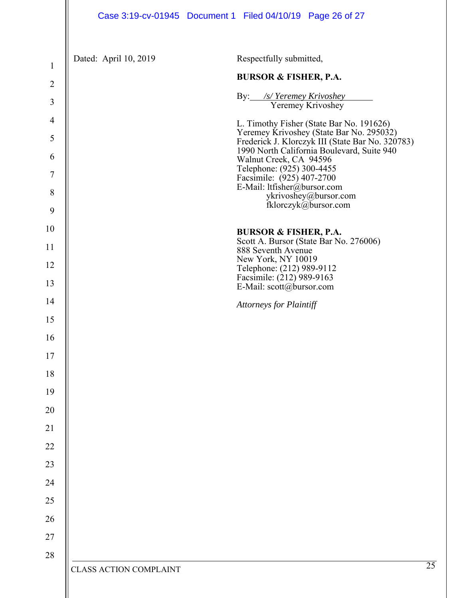$\mathsf{I}$ 

| $\mathbf{1}$   | Dated: April 10, 2019         | Respectfully submitted,                                                                      |
|----------------|-------------------------------|----------------------------------------------------------------------------------------------|
| $\overline{2}$ |                               | <b>BURSOR &amp; FISHER, P.A.</b>                                                             |
| 3              |                               | By: /s/ Yeremey Krivoshey<br>Yeremey Krivoshey                                               |
| $\overline{4}$ |                               | L. Timothy Fisher (State Bar No. 191626)                                                     |
| 5              |                               | Yeremey Krivoshey (State Bar No. 295032)<br>Frederick J. Klorczyk III (State Bar No. 320783) |
| 6              |                               | 1990 North California Boulevard, Suite 940<br>Walnut Creek, CA 94596                         |
| $\tau$         |                               | Telephone: (925) 300-4455<br>Facsimile: (925) 407-2700                                       |
| 8              |                               | E-Mail: ltfisher@bursor.com<br>ykrivoshey@bursor.com                                         |
| 9              |                               | fklorczyk@bursor.com                                                                         |
| 10             |                               | <b>BURSOR &amp; FISHER, P.A.</b>                                                             |
| 11             |                               | Scott A. Bursor (State Bar No. 276006)<br>888 Seventh Avenue                                 |
| 12             |                               | New York, NY 10019<br>Telephone: (212) 989-9112                                              |
| 13             |                               | Facsimile: (212) 989-9163<br>E-Mail: scott@bursor.com                                        |
| 14             |                               | <b>Attorneys for Plaintiff</b>                                                               |
| 15             |                               |                                                                                              |
| 16             |                               |                                                                                              |
| 17             |                               |                                                                                              |
| 18             |                               |                                                                                              |
| 19             |                               |                                                                                              |
| 20             |                               |                                                                                              |
| 21             |                               |                                                                                              |
| 22             |                               |                                                                                              |
| 23             |                               |                                                                                              |
| 24             |                               |                                                                                              |
| 25             |                               |                                                                                              |
| 26             |                               |                                                                                              |
| $27\,$         |                               |                                                                                              |
| 28             |                               | 25                                                                                           |
|                | <b>CLASS ACTION COMPLAINT</b> |                                                                                              |
|                |                               |                                                                                              |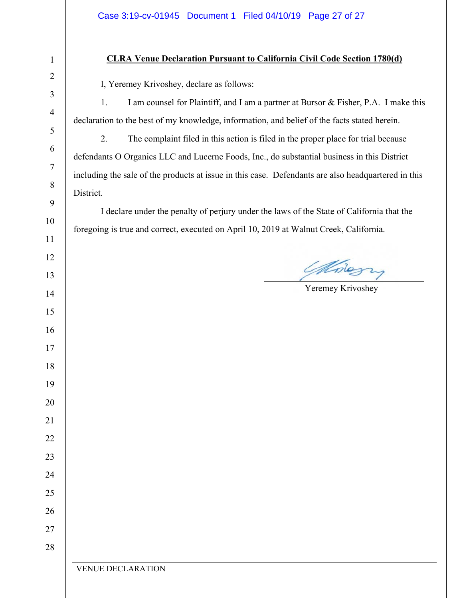### **CLRA Venue Declaration Pursuant to California Civil Code Section 1780(d)**

I, Yeremey Krivoshey, declare as follows:

1. I am counsel for Plaintiff, and I am a partner at Bursor & Fisher, P.A. I make this declaration to the best of my knowledge, information, and belief of the facts stated herein.

2. The complaint filed in this action is filed in the proper place for trial because defendants O Organics LLC and Lucerne Foods, Inc., do substantial business in this District including the sale of the products at issue in this case. Defendants are also headquartered in this District.

I declare under the penalty of perjury under the laws of the State of California that the foregoing is true and correct, executed on April 10, 2019 at Walnut Creek, California.

 $\overline{a}$ 

Modern

Yeremey Krivoshey